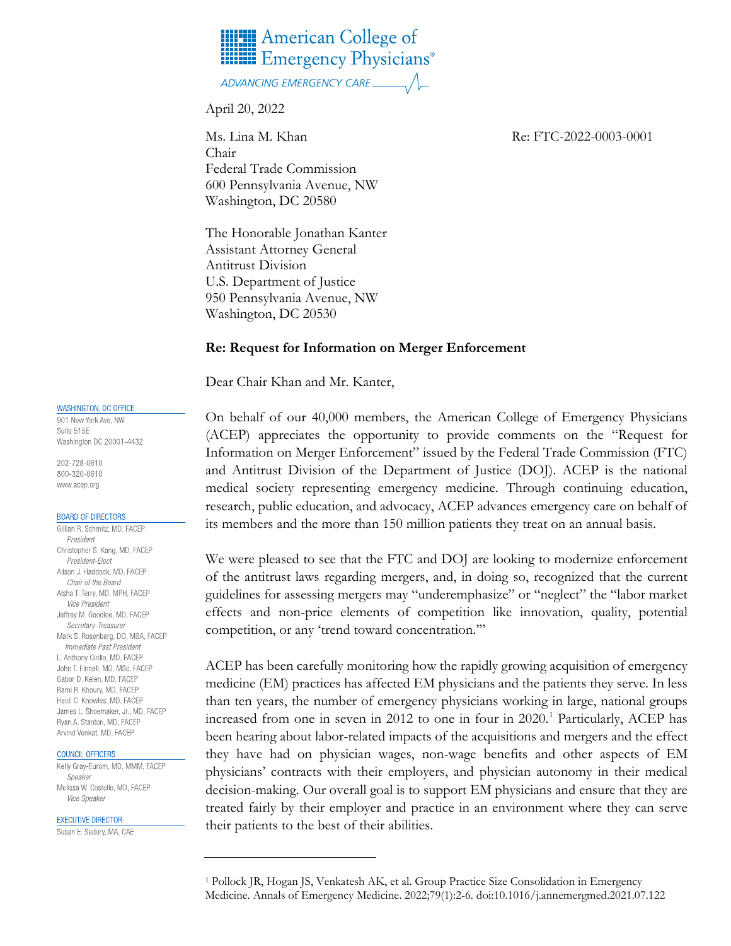

## ADVANCING EMERGENCY CARE.

April 20, 2022

Ms. Lina M. Khan Re: FTC-2022-0003-0001 Chair Federal Trade Commission 600 Pennsylvania Avenue, NW Washington, DC 20580

The Honorable Jonathan Kanter Assistant Attorney General Antitrust Division U.S. Department of Justice 950 Pennsylvania Avenue, NW Washington, DC 20530

#### **Re: Request for Information on Merger Enforcement**

Dear Chair Khan and Mr. Kanter,

On behalf of our 40,000 members, the American College of Emergency Physicians (ACEP) appreciates the opportunity to provide comments on the "Request for Information on Merger Enforcement" issued by the Federal Trade Commission (FTC) and Antitrust Division of the Department of Justice (DOJ). ACEP is the national medical society representing emergency medicine. Through continuing education, research, public education, and advocacy, ACEP advances emergency care on behalf of its members and the more than 150 million patients they treat on an annual basis.

We were pleased to see that the FTC and DOJ are looking to modernize enforcement of the antitrust laws regarding mergers, and, in doing so, recognized that the current guidelines for assessing mergers may "underemphasize" or "neglect" the "labor market effects and non-price elements of competition like innovation, quality, potential competition, or any 'trend toward concentration.'"

ACEP has been carefully monitoring how the rapidly growing acquisition of emergency medicine (EM) practices has affected EM physicians and the patients they serve. In less than ten years, the number of emergency physicians working in large, national groups increased from one in seven in 20[1](#page-0-0)2 to one in four in 2020.<sup>1</sup> Particularly, ACEP has been hearing about labor-related impacts of the acquisitions and mergers and the effect they have had on physician wages, non-wage benefits and other aspects of EM physicians' contracts with their employers, and physician autonomy in their medical decision-making. Our overall goal is to support EM physicians and ensure that they are treated fairly by their employer and practice in an environment where they can serve their patients to the best of their abilities.

#### WASHINGTON, DC OFFICE

901 New York Ave, NW Suite 515E Washington DC 20001-4432

202-728-0610 800-320-0610 www.acep.org

#### **BOARD OF DIRECTORS**

Gillian R. Schmitz, MD, FACEP President Christopher S. Kang, MD, FACEP President-Elect Alison J. Haddock, MD, FACEP Chair of the Board Aisha T. Terry, MD, MPH, FACEP **Vice President** Jeffrey M. Goodloe, MD, FACEP Secretary-Treasurer Mark S. Rosenberg, DO, MBA, FACEP Immediate Past President L. Anthony Cirillo, MD, FACEP John T. Finnell, MD, MSc, FACEP Gabor D. Kelen, MD, FACEP Rami R. Khoury, MD, FACEP Heidi C. Knowles, MD, FACEP James L. Shoemaker, Jr., MD, FACEP Ryan A. Stanton, MD, FACEP Arvind Venkat, MD, FACEP

#### COUNCIL OFFICERS

Kelly Gray-Eurom, MD, MMM, FACEP Speaker Melissa W. Costello, MD, FACEP Vice Speaker

#### **EXECUTIVE DIRECTOR**

<span id="page-0-0"></span>Susan E. Sedory, MA, CAE

<sup>1</sup> Pollock JR, Hogan JS, Venkatesh AK, et al. Group Practice Size Consolidation in Emergency Medicine. Annals of Emergency Medicine. 2022;79(1):2-6. doi:10.1016/j.annemergmed.2021.07.122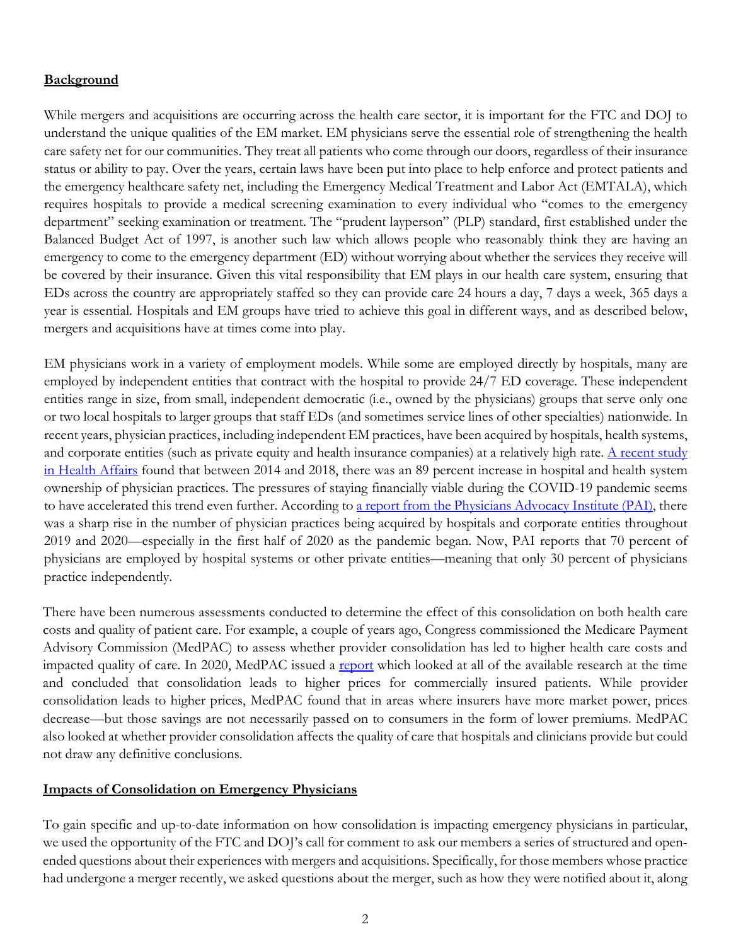## **Background**

While mergers and acquisitions are occurring across the health care sector, it is important for the FTC and DOJ to understand the unique qualities of the EM market. EM physicians serve the essential role of strengthening the health care safety net for our communities. They treat all patients who come through our doors, regardless of their insurance status or ability to pay. Over the years, certain laws have been put into place to help enforce and protect patients and the emergency healthcare safety net, including the Emergency Medical Treatment and Labor Act (EMTALA), which requires hospitals to provide a medical screening examination to every individual who "comes to the emergency department" seeking examination or treatment. The "prudent layperson" (PLP) standard, first established under the Balanced Budget Act of 1997, is another such law which allows people who reasonably think they are having an emergency to come to the emergency department (ED) without worrying about whether the services they receive will be covered by their insurance. Given this vital responsibility that EM plays in our health care system, ensuring that EDs across the country are appropriately staffed so they can provide care 24 hours a day, 7 days a week, 365 days a year is essential. Hospitals and EM groups have tried to achieve this goal in different ways, and as described below, mergers and acquisitions have at times come into play.

EM physicians work in a variety of employment models. While some are employed directly by hospitals, many are employed by independent entities that contract with the hospital to provide 24/7 ED coverage. These independent entities range in size, from small, independent democratic (i.e., owned by the physicians) groups that serve only one or two local hospitals to larger groups that staff EDs (and sometimes service lines of other specialties) nationwide. In recent years, physician practices, including independent EM practices, have been acquired by hospitals, health systems, and corporate entities (such as private equity and health insurance companies) at a relatively high rate. A recent study [in Health Affairs](https://www.healthaffairs.org/doi/10.1377/hlthaff.2021.01007) found that between 2014 and 2018, there was an 89 percent increase in hospital and health system ownership of physician practices. The pressures of staying financially viable during the COVID-19 pandemic seems to have accelerated this trend even further. According t[o a report from the Physicians Advocacy Institute \(PAI\),](http://www.physiciansadvocacyinstitute.org/PAI-Research/Physician-Employment-and-Practice-Acquisitions-Trends-2019-20) there was a sharp rise in the number of physician practices being acquired by hospitals and corporate entities throughout 2019 and 2020—especially in the first half of 2020 as the pandemic began. Now, PAI reports that 70 percent of physicians are employed by hospital systems or other private entities—meaning that only 30 percent of physicians practice independently.

There have been numerous assessments conducted to determine the effect of this consolidation on both health care costs and quality of patient care. For example, a couple of years ago, Congress commissioned the Medicare Payment Advisory Commission (MedPAC) to assess whether provider consolidation has led to higher health care costs and impacted quality of care. In 2020, MedPAC issued a [report](https://www.medpac.gov/wp-content/uploads/import_data/scrape_files/docs/default-source/reports/mar20_medpac_ch15_sec.pdf) which looked at all of the available research at the time and concluded that consolidation leads to higher prices for commercially insured patients. While provider consolidation leads to higher prices, MedPAC found that in areas where insurers have more market power, prices decrease—but those savings are not necessarily passed on to consumers in the form of lower premiums. MedPAC also looked at whether provider consolidation affects the quality of care that hospitals and clinicians provide but could not draw any definitive conclusions.

## **Impacts of Consolidation on Emergency Physicians**

To gain specific and up-to-date information on how consolidation is impacting emergency physicians in particular, we used the opportunity of the FTC and DOJ's call for comment to ask our members a series of structured and openended questions about their experiences with mergers and acquisitions. Specifically, for those members whose practice had undergone a merger recently, we asked questions about the merger, such as how they were notified about it, along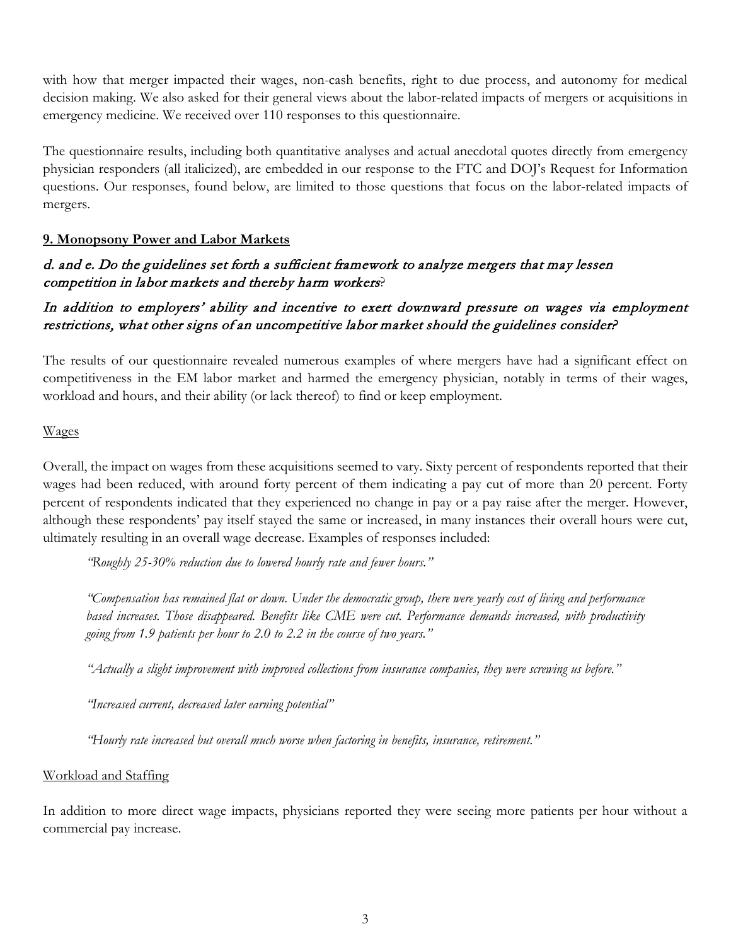with how that merger impacted their wages, non-cash benefits, right to due process, and autonomy for medical decision making. We also asked for their general views about the labor-related impacts of mergers or acquisitions in emergency medicine. We received over 110 responses to this questionnaire.

The questionnaire results, including both quantitative analyses and actual anecdotal quotes directly from emergency physician responders (all italicized), are embedded in our response to the FTC and DOJ's Request for Information questions. Our responses, found below, are limited to those questions that focus on the labor-related impacts of mergers.

## **9. Monopsony Power and Labor Markets**

## d. and e. Do the guidelines set forth a sufficient framework to analyze mergers that may lessen competition in labor markets and thereby harm workers?

# In addition to employers' ability and incentive to exert downward pressure on wages via employment restrictions, what other signs of an uncompetitive labor market should the guidelines consider?

The results of our questionnaire revealed numerous examples of where mergers have had a significant effect on competitiveness in the EM labor market and harmed the emergency physician, notably in terms of their wages, workload and hours, and their ability (or lack thereof) to find or keep employment.

## Wages

Overall, the impact on wages from these acquisitions seemed to vary. Sixty percent of respondents reported that their wages had been reduced, with around forty percent of them indicating a pay cut of more than 20 percent. Forty percent of respondents indicated that they experienced no change in pay or a pay raise after the merger. However, although these respondents' pay itself stayed the same or increased, in many instances their overall hours were cut, ultimately resulting in an overall wage decrease. Examples of responses included:

*"Roughly 25-30% reduction due to lowered hourly rate and fewer hours."*

*"Compensation has remained flat or down. Under the democratic group, there were yearly cost of living and performance based increases. Those disappeared. Benefits like CME were cut. Performance demands increased, with productivity going from 1.9 patients per hour to 2.0 to 2.2 in the course of two years."*

*"Actually a slight improvement with improved collections from insurance companies, they were screwing us before."*

*"Increased current, decreased later earning potential"*

*"Hourly rate increased but overall much worse when factoring in benefits, insurance, retirement."* 

## Workload and Staffing

In addition to more direct wage impacts, physicians reported they were seeing more patients per hour without a commercial pay increase.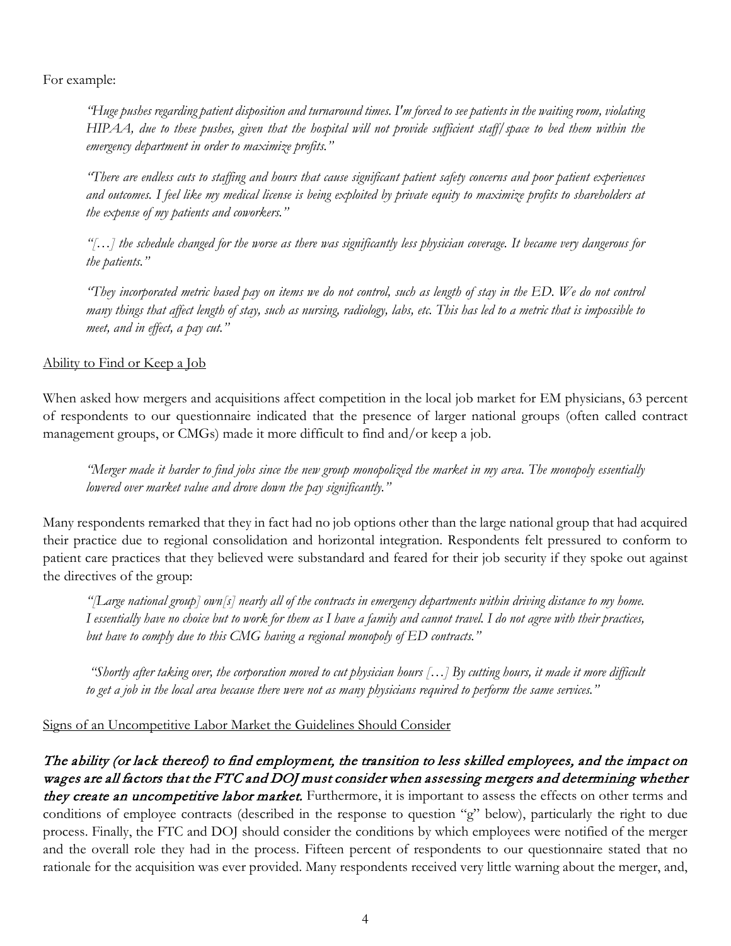For example:

*"Huge pushes regarding patient disposition and turnaround times. I'm forced to see patients in the waiting room, violating HIPAA, due to these pushes, given that the hospital will not provide sufficient staff/space to bed them within the emergency department in order to maximize profits."*

*"There are endless cuts to staffing and hours that cause significant patient safety concerns and poor patient experiences and outcomes. I feel like my medical license is being exploited by private equity to maximize profits to shareholders at the expense of my patients and coworkers."*

*"[…] the schedule changed for the worse as there was significantly less physician coverage. It became very dangerous for the patients."*

*"They incorporated metric based pay on items we do not control, such as length of stay in the ED. We do not control many things that affect length of stay, such as nursing, radiology, labs, etc. This has led to a metric that is impossible to meet, and in effect, a pay cut."*

Ability to Find or Keep a Job

When asked how mergers and acquisitions affect competition in the local job market for EM physicians, 63 percent of respondents to our questionnaire indicated that the presence of larger national groups (often called contract management groups, or CMGs) made it more difficult to find and/or keep a job.

*"Merger made it harder to find jobs since the new group monopolized the market in my area. The monopoly essentially lowered over market value and drove down the pay significantly."*

Many respondents remarked that they in fact had no job options other than the large national group that had acquired their practice due to regional consolidation and horizontal integration. Respondents felt pressured to conform to patient care practices that they believed were substandard and feared for their job security if they spoke out against the directives of the group:

*"[Large national group] own[s] nearly all of the contracts in emergency departments within driving distance to my home. I essentially have no choice but to work for them as I have a family and cannot travel. I do not agree with their practices, but have to comply due to this CMG having a regional monopoly of ED contracts."*

 *"Shortly after taking over, the corporation moved to cut physician hours […] By cutting hours, it made it more difficult to get a job in the local area because there were not as many physicians required to perform the same services."*

Signs of an Uncompetitive Labor Market the Guidelines Should Consider

The ability (or lack thereof) to find employment, the transition to less skilled employees, and the impact on wages are all factors that the FTC and DOJ must consider when assessing mergers and determining whether they create an uncompetitive labor market. Furthermore, it is important to assess the effects on other terms and conditions of employee contracts (described in the response to question "g" below), particularly the right to due process. Finally, the FTC and DOJ should consider the conditions by which employees were notified of the merger and the overall role they had in the process. Fifteen percent of respondents to our questionnaire stated that no rationale for the acquisition was ever provided. Many respondents received very little warning about the merger, and,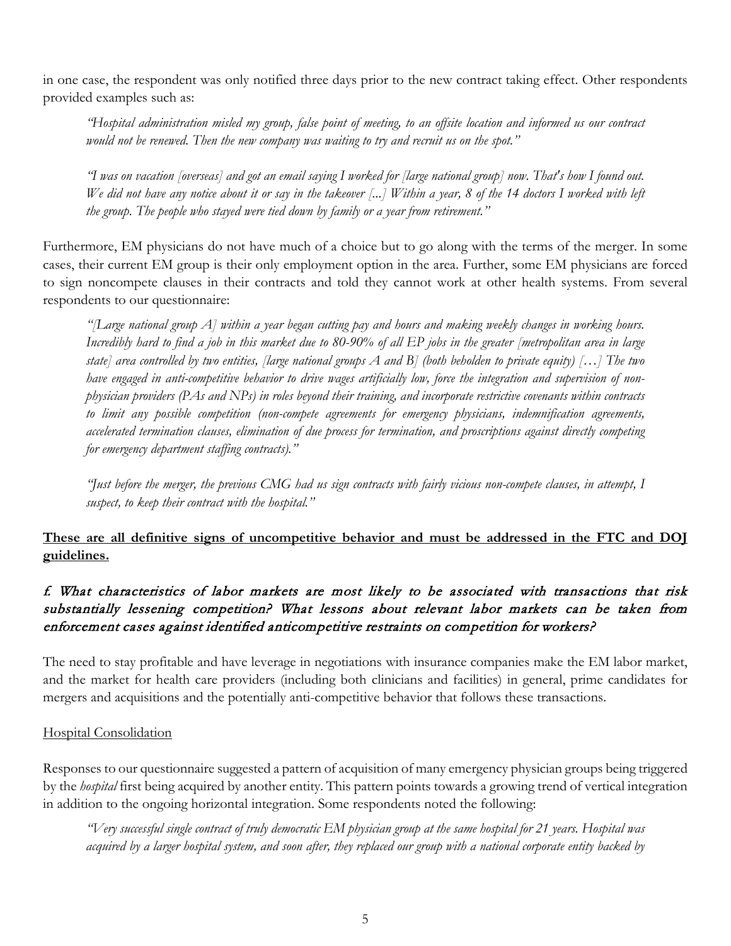in one case, the respondent was only notified three days prior to the new contract taking effect. Other respondents provided examples such as:

*"Hospital administration misled my group, false point of meeting, to an offsite location and informed us our contract would not be renewed. Then the new company was waiting to try and recruit us on the spot."*

*"I was on vacation [overseas] and got an email saying I worked for [large national group] now. That's how I found out. We did not have any notice about it or say in the takeover [...] Within a year, 8 of the 14 doctors I worked with left the group. The people who stayed were tied down by family or a year from retirement."*

Furthermore, EM physicians do not have much of a choice but to go along with the terms of the merger. In some cases, their current EM group is their only employment option in the area. Further, some EM physicians are forced to sign noncompete clauses in their contracts and told they cannot work at other health systems. From several respondents to our questionnaire:

*"[Large national group A] within a year began cutting pay and hours and making weekly changes in working hours. Incredibly hard to find a job in this market due to 80-90% of all EP jobs in the greater [metropolitan area in large state] area controlled by two entities, [large national groups A and B] (both beholden to private equity) […] The two have engaged in anti-competitive behavior to drive wages artificially low, force the integration and supervision of nonphysician providers (PAs and NPs) in roles beyond their training, and incorporate restrictive covenants within contracts to limit any possible competition (non-compete agreements for emergency physicians, indemnification agreements, accelerated termination clauses, elimination of due process for termination, and proscriptions against directly competing for emergency department staffing contracts)."*

*"Just before the merger, the previous CMG had us sign contracts with fairly vicious non-compete clauses, in attempt, I suspect, to keep their contract with the hospital."* 

# **These are all definitive signs of uncompetitive behavior and must be addressed in the FTC and DOJ guidelines.**

# f. What characteristics of labor markets are most likely to be associated with transactions that risk substantially lessening competition? What lessons about relevant labor markets can be taken from enforcement cases against identified anticompetitive restraints on competition for workers?

The need to stay profitable and have leverage in negotiations with insurance companies make the EM labor market, and the market for health care providers (including both clinicians and facilities) in general, prime candidates for mergers and acquisitions and the potentially anti-competitive behavior that follows these transactions.

## Hospital Consolidation

Responses to our questionnaire suggested a pattern of acquisition of many emergency physician groups being triggered by the *hospital* first being acquired by another entity. This pattern points towards a growing trend of vertical integration in addition to the ongoing horizontal integration. Some respondents noted the following:

*"Very successful single contract of truly democratic EM physician group at the same hospital for 21 years. Hospital was acquired by a larger hospital system, and soon after, they replaced our group with a national corporate entity backed by*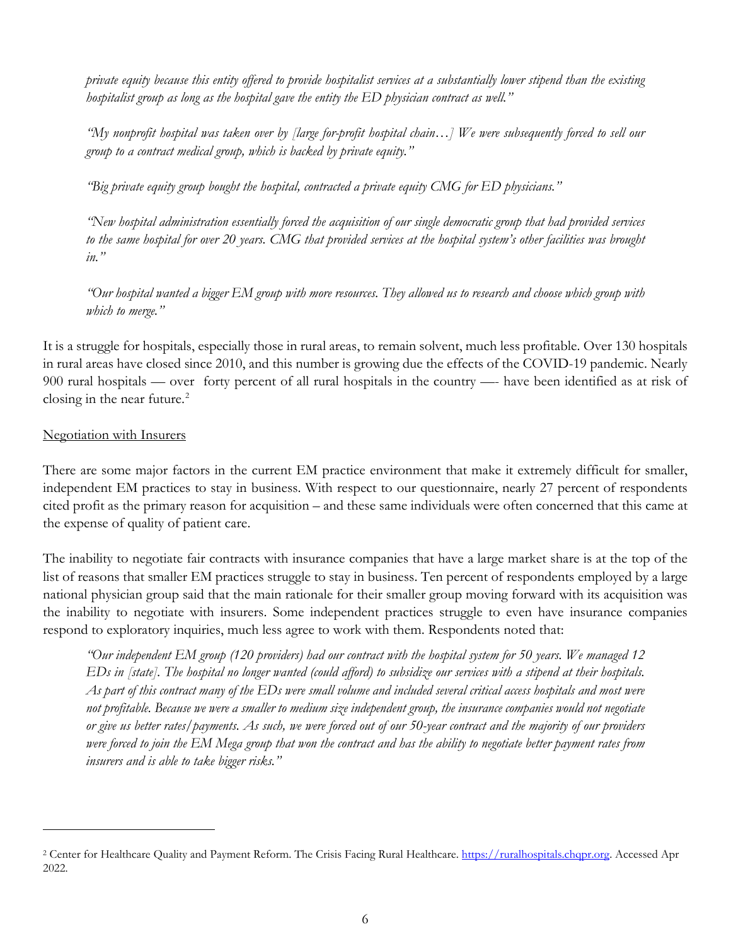*private equity because this entity offered to provide hospitalist services at a substantially lower stipend than the existing hospitalist group as long as the hospital gave the entity the ED physician contract as well."*

*"My nonprofit hospital was taken over by [large for-profit hospital chain…] We were subsequently forced to sell our group to a contract medical group, which is backed by private equity."*

*"Big private equity group bought the hospital, contracted a private equity CMG for ED physicians."*

*"New hospital administration essentially forced the acquisition of our single democratic group that had provided services to the same hospital for over 20 years. CMG that provided services at the hospital system's other facilities was brought in."*

*"Our hospital wanted a bigger EM group with more resources. They allowed us to research and choose which group with which to merge."*

It is a struggle for hospitals, especially those in rural areas, to remain solvent, much less profitable. Over 130 hospitals in rural areas have closed since 2010, and this number is growing due the effects of the COVID-19 pandemic. Nearly 900 rural hospitals — over forty percent of all rural hospitals in the country —- have been identified as at risk of closing in the near future. $^{2}$  $^{2}$  $^{2}$ 

## Negotiation with Insurers

There are some major factors in the current EM practice environment that make it extremely difficult for smaller, independent EM practices to stay in business. With respect to our questionnaire, nearly 27 percent of respondents cited profit as the primary reason for acquisition – and these same individuals were often concerned that this came at the expense of quality of patient care.

The inability to negotiate fair contracts with insurance companies that have a large market share is at the top of the list of reasons that smaller EM practices struggle to stay in business. Ten percent of respondents employed by a large national physician group said that the main rationale for their smaller group moving forward with its acquisition was the inability to negotiate with insurers. Some independent practices struggle to even have insurance companies respond to exploratory inquiries, much less agree to work with them. Respondents noted that:

*"Our independent EM group (120 providers) had our contract with the hospital system for 50 years. We managed 12 EDs in [state]. The hospital no longer wanted (could afford) to subsidize our services with a stipend at their hospitals. As part of this contract many of the EDs were small volume and included several critical access hospitals and most were not profitable. Because we were a smaller to medium size independent group, the insurance companies would not negotiate or give us better rates/payments. As such, we were forced out of our 50-year contract and the majority of our providers were forced to join the EM Mega group that won the contract and has the ability to negotiate better payment rates from insurers and is able to take bigger risks."* 

<span id="page-5-0"></span><sup>&</sup>lt;sup>2</sup> Center for Healthcare Quality and Payment Reform. The Crisis Facing Rural Healthcare. [https://ruralhospitals.chqpr.org.](https://ruralhospitals.chqpr.org/) Accessed Apr 2022.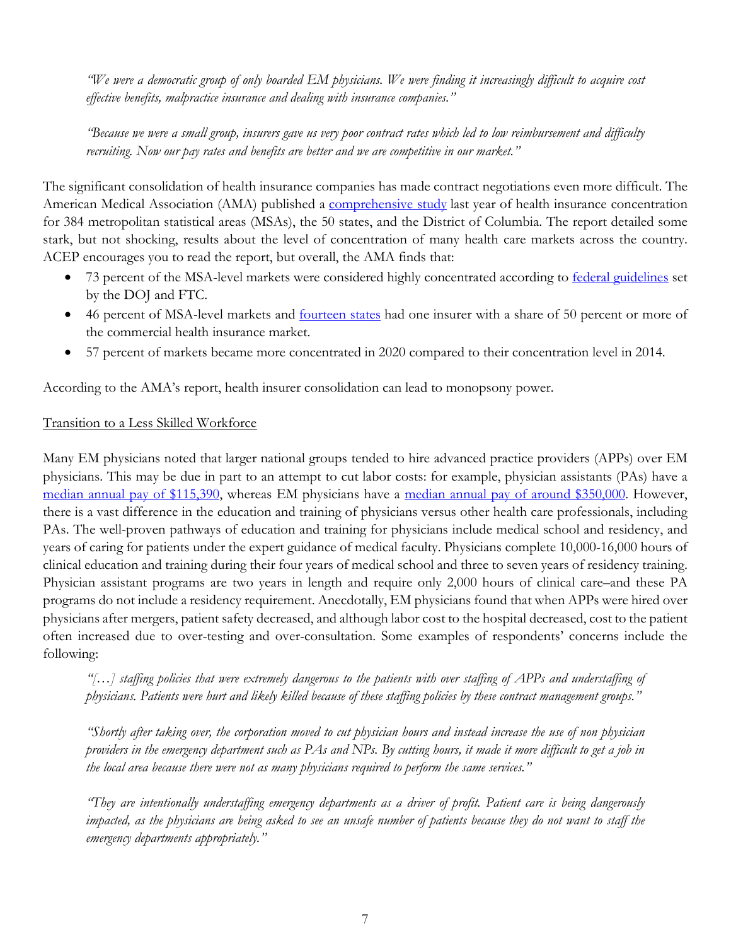*"We were a democratic group of only boarded EM physicians. We were finding it increasingly difficult to acquire cost effective benefits, malpractice insurance and dealing with insurance companies."*

*"Because we were a small group, insurers gave us very poor contract rates which led to low reimbursement and difficulty recruiting. Now our pay rates and benefits are better and we are competitive in our market."*

The significant consolidation of health insurance companies has made contract negotiations even more difficult. The American Medical Association (AMA) published a [comprehensive study](https://www.ama-assn.org/system/files/competition-health-insurance-us-markets.pdf) last year of health insurance concentration for 384 metropolitan statistical areas (MSAs), the 50 states, and the District of Columbia. The report detailed some stark, but not shocking, results about the level of concentration of many health care markets across the country. ACEP encourages you to read the report, but overall, the AMA finds that:

- 73 percent of the MSA-level markets were considered highly concentrated according to [federal guidelines](https://www.justice.gov/atr/horizontal-merger-guidelines-08192010#2d) set by the DOJ and FTC.
- 46 percent of MSA-level markets and **[fourteen states](https://www.ama-assn.org/system/files/competition-in-health-insurance-market-share-largest-insurer.pdf)** had one insurer with a share of 50 percent or more of the commercial health insurance market.
- 57 percent of markets became more concentrated in 2020 compared to their concentration level in 2014.

According to the AMA's report, health insurer consolidation can lead to monopsony power.

## Transition to a Less Skilled Workforce

Many EM physicians noted that larger national groups tended to hire advanced practice providers (APPs) over EM physicians. This may be due in part to an attempt to cut labor costs: for example, physician assistants (PAs) have a [median annual pay of \\$115,390,](https://www.bls.gov/ooh/healthcare/physician-assistants.htm) whereas EM physicians have a [median annual pay of around \\$350,000.](https://www.merritthawkins.com/uploadedFiles/merritthawkins_2018_compensation_brochure.pdf) However, there is a vast difference in the education and training of physicians versus other health care professionals, including PAs. The well-proven pathways of education and training for physicians include medical school and residency, and years of caring for patients under the expert guidance of medical faculty. Physicians complete 10,000-16,000 hours of clinical education and training during their four years of medical school and three to seven years of residency training. Physician assistant programs are two years in length and require only 2,000 hours of clinical care–and these PA programs do not include a residency requirement. Anecdotally, EM physicians found that when APPs were hired over physicians after mergers, patient safety decreased, and although labor cost to the hospital decreased, cost to the patient often increased due to over-testing and over-consultation. Some examples of respondents' concerns include the following:

*"[…] staffing policies that were extremely dangerous to the patients with over staffing of APPs and understaffing of physicians. Patients were hurt and likely killed because of these staffing policies by these contract management groups."*

*"Shortly after taking over, the corporation moved to cut physician hours and instead increase the use of non physician providers in the emergency department such as PAs and NPs. By cutting hours, it made it more difficult to get a job in the local area because there were not as many physicians required to perform the same services."*

*"They are intentionally understaffing emergency departments as a driver of profit. Patient care is being dangerously impacted, as the physicians are being asked to see an unsafe number of patients because they do not want to staff the emergency departments appropriately."*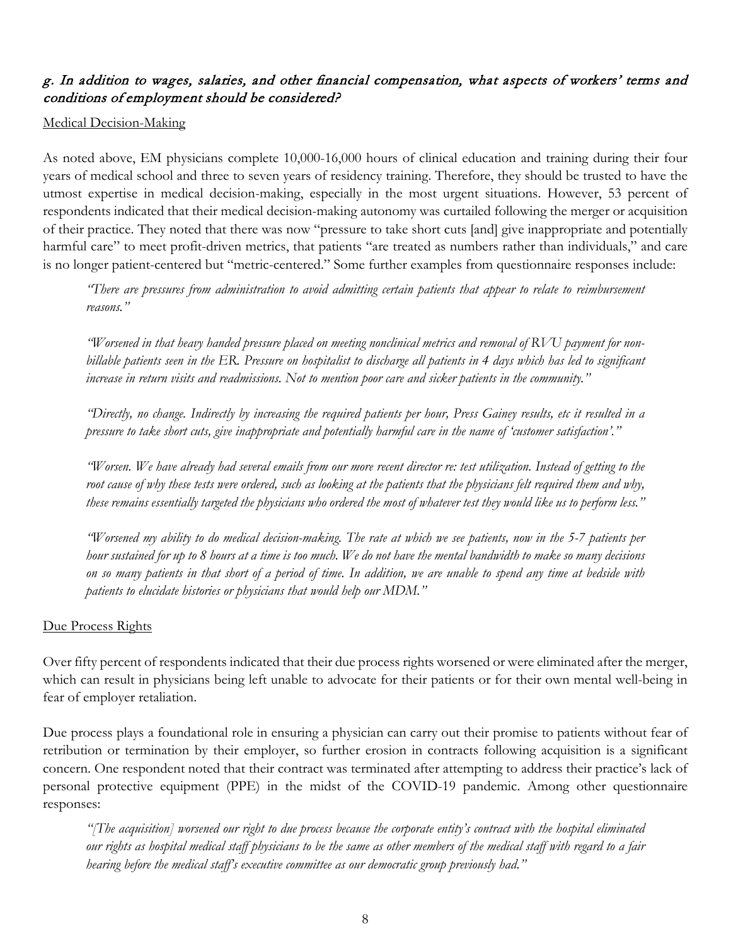# g. In addition to wages, salaries, and other financial compensation, what aspects of workers' terms and conditions of employment should be considered?

#### Medical Decision-Making

As noted above, EM physicians complete 10,000-16,000 hours of clinical education and training during their four years of medical school and three to seven years of residency training. Therefore, they should be trusted to have the utmost expertise in medical decision-making, especially in the most urgent situations. However, 53 percent of respondents indicated that their medical decision-making autonomy was curtailed following the merger or acquisition of their practice. They noted that there was now "pressure to take short cuts [and] give inappropriate and potentially harmful care" to meet profit-driven metrics, that patients "are treated as numbers rather than individuals," and care is no longer patient-centered but "metric-centered." Some further examples from questionnaire responses include:

*"There are pressures from administration to avoid admitting certain patients that appear to relate to reimbursement reasons."* 

*"Worsened in that heavy handed pressure placed on meeting nonclinical metrics and removal of RVU payment for nonbillable patients seen in the ER. Pressure on hospitalist to discharge all patients in 4 days which has led to significant increase in return visits and readmissions. Not to mention poor care and sicker patients in the community."*

*"Directly, no change. Indirectly by increasing the required patients per hour, Press Gainey results, etc it resulted in a pressure to take short cuts, give inappropriate and potentially harmful care in the name of 'customer satisfaction'."*

*"Worsen. We have already had several emails from our more recent director re: test utilization. Instead of getting to the root cause of why these tests were ordered, such as looking at the patients that the physicians felt required them and why, these remains essentially targeted the physicians who ordered the most of whatever test they would like us to perform less."*

*"Worsened my ability to do medical decision-making. The rate at which we see patients, now in the 5-7 patients per hour sustained for up to 8 hours at a time is too much. We do not have the mental bandwidth to make so many decisions on so many patients in that short of a period of time. In addition, we are unable to spend any time at bedside with patients to elucidate histories or physicians that would help our MDM."*

## Due Process Rights

Over fifty percent of respondents indicated that their due process rights worsened or were eliminated after the merger, which can result in physicians being left unable to advocate for their patients or for their own mental well-being in fear of employer retaliation.

Due process plays a foundational role in ensuring a physician can carry out their promise to patients without fear of retribution or termination by their employer, so further erosion in contracts following acquisition is a significant concern. One respondent noted that their contract was terminated after attempting to address their practice's lack of personal protective equipment (PPE) in the midst of the COVID-19 pandemic. Among other questionnaire responses:

*"[The acquisition] worsened our right to due process because the corporate entity's contract with the hospital eliminated our rights as hospital medical staff physicians to be the same as other members of the medical staff with regard to a fair hearing before the medical staff's executive committee as our democratic group previously had."*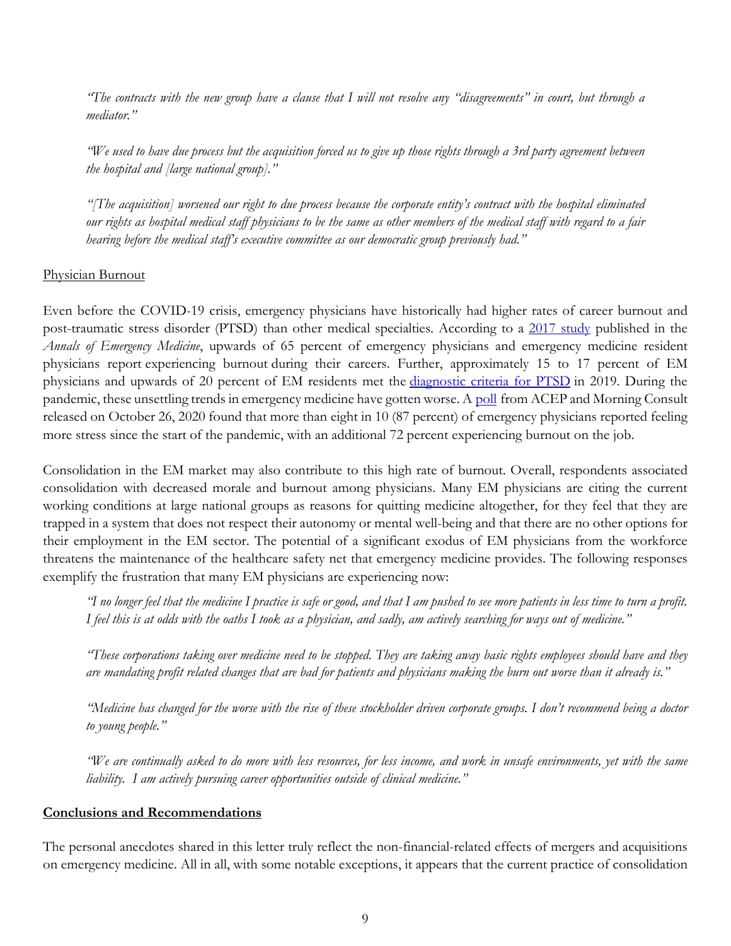*"The contracts with the new group have a clause that I will not resolve any "disagreements" in court, but through a mediator."*

*"We used to have due process but the acquisition forced us to give up those rights through a 3rd party agreement between the hospital and [large national group]."*

*"[The acquisition] worsened our right to due process because the corporate entity's contract with the hospital eliminated our rights as hospital medical staff physicians to be the same as other members of the medical staff with regard to a fair hearing before the medical staff's executive committee as our democratic group previously had."* 

#### Physician Burnout

Even before the COVID-19 crisis, emergency physicians have historically had higher rates of career burnout and post-traumatic stress disorder (PTSD) than other medical specialties. According to a [2017 study](https://www.annemergmed.com/article/S0196-0644(17)30893-4/fulltext) published in the *Annals of Emergency Medicine*, upwards of 65 percent of emergency physicians and emergency medicine resident physicians report experiencing burnout during their careers. Further, approximately 15 to 17 percent of EM physicians and upwards of 20 percent of EM residents met the [diagnostic criteria for PTSD](https://www.annemergmed.com/article/S0196-0644(17)30893-4/fulltext) in 2019. During the pandemic, these unsettling trends in emergency medicine have gotten worse. A [poll](https://www.emergencyphysicians.org/article/mental-health/poll-workplace-stigma-fear-of-professional-consequences-prevent-emergency-physicians-from-seeking-mental-health-care) from ACEP and Morning Consult released on October 26, 2020 found that more than eight in 10 (87 percent) of emergency physicians reported feeling more stress since the start of the pandemic, with an additional 72 percent experiencing burnout on the job.

Consolidation in the EM market may also contribute to this high rate of burnout. Overall, respondents associated consolidation with decreased morale and burnout among physicians. Many EM physicians are citing the current working conditions at large national groups as reasons for quitting medicine altogether, for they feel that they are trapped in a system that does not respect their autonomy or mental well-being and that there are no other options for their employment in the EM sector. The potential of a significant exodus of EM physicians from the workforce threatens the maintenance of the healthcare safety net that emergency medicine provides. The following responses exemplify the frustration that many EM physicians are experiencing now:

*"I no longer feel that the medicine I practice is safe or good, and that I am pushed to see more patients in less time to turn a profit. I feel this is at odds with the oaths I took as a physician, and sadly, am actively searching for ways out of medicine."*

*"These corporations taking over medicine need to be stopped. They are taking away basic rights employees should have and they are mandating profit related changes that are bad for patients and physicians making the burn out worse than it already is."*

*"Medicine has changed for the worse with the rise of these stockholder driven corporate groups. I don't recommend being a doctor to young people."*

*"We are continually asked to do more with less resources, for less income, and work in unsafe environments, yet with the same liability. I am actively pursuing career opportunities outside of clinical medicine."* 

#### **Conclusions and Recommendations**

The personal anecdotes shared in this letter truly reflect the non-financial-related effects of mergers and acquisitions on emergency medicine. All in all, with some notable exceptions, it appears that the current practice of consolidation